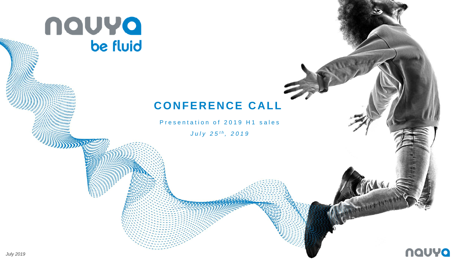

## **CONFERENCE CALL**

Presentation of 2019 H1 sales

*July* 25<sup>th</sup>, 2019

Cau

**CENTRY!** 

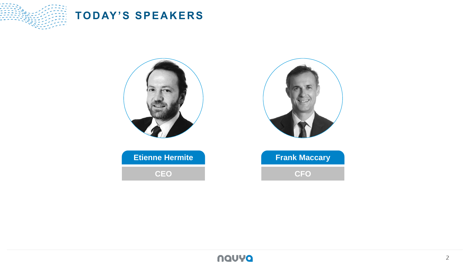

## **TODAY'S SPEAKERS**



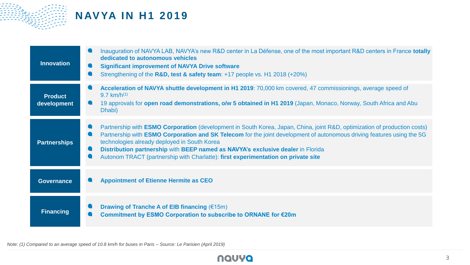

## **NAVYA IN H1 2019**

| <b>Innovation</b>             | Inauguration of NAVYA LAB, NAVYA's new R&D center in La Défense, one of the most important R&D centers in France totally<br>dedicated to autonomous vehicles<br><b>Significant improvement of NAVYA Drive software</b><br>Strengthening of the R&D, test & safety team: +17 people vs. H1 2018 (+20%)                                                                                                                                                                                     |
|-------------------------------|-------------------------------------------------------------------------------------------------------------------------------------------------------------------------------------------------------------------------------------------------------------------------------------------------------------------------------------------------------------------------------------------------------------------------------------------------------------------------------------------|
| <b>Product</b><br>development | Acceleration of NAVYA shuttle development in H1 2019: 70,000 km covered, 47 commissionings, average speed of<br>9.7 km/h <sup><math>(1)</math></sup><br>19 approvals for open road demonstrations, o/w 5 obtained in H1 2019 (Japan, Monaco, Norway, South Africa and Abu<br>Dhabi)                                                                                                                                                                                                       |
| <b>Partnerships</b>           | Partnership with <b>ESMO Corporation</b> (development in South Korea, Japan, China, joint R&D, optimization of production costs)<br>Partnership with <b>ESMO Corporation and SK Telecom</b> for the joint development of autonomous driving features using the 5G<br>technologies already deployed in South Korea<br>Distribution partnership with BEEP named as NAVYA's exclusive dealer in Florida<br>Autonom TRACT (partnership with Charlatte): first experimentation on private site |
| <b>Governance</b>             | <b>Appointment of Etienne Hermite as CEO</b>                                                                                                                                                                                                                                                                                                                                                                                                                                              |
| <b>Financing</b>              | Drawing of Tranche A of EIB financing $(\text{\textsterling}15m)$<br>Commitment by ESMO Corporation to subscribe to ORNANE for €20m                                                                                                                                                                                                                                                                                                                                                       |

*Note: (1) Compared to an average speed of 10.8 km/h for buses in Paris – Source: Le Parisien (April 2019)*

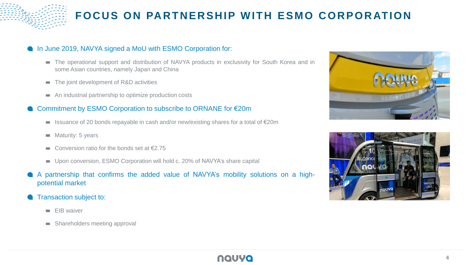

# **FOCUS ON PARTNERSHIP WITH ESMO CORPORATION**

#### In June 2019, NAVYA signed a MoU with ESMO Corporation for:

- The operational support and distribution of NAVYA products in exclusivity for South Korea and in some Asian countries, namely Japan and China
- The joint development of R&D activities
- An industrial partnership to optimize production costs

#### Commitment by ESMO Corporation to subscribe to ORNANE for €20m

- Issuance of 20 bonds repayable in cash and/or new/existing shares for a total of €20m
- $\blacksquare$  Maturity: 5 years
- Conversion ratio for the bonds set at  $\epsilon$ 2.75 **COL**
- Upon conversion, ESMO Corporation will hold c. 20% of NAVYA's share capital
- A partnership that confirms the added value of NAVYA's mobility solutions on a highpotential market
- Transaction subject to:
	- $\blacksquare$  EIB waiver
	- **Shareholders meeting approval**





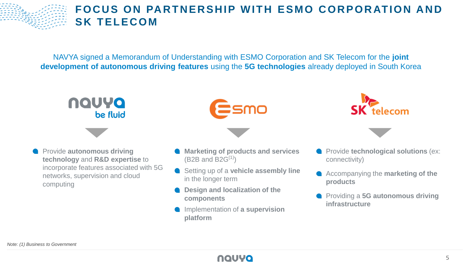

## **FOCUS ON PARTNERSHIP WITH ESMO CORPORATION AND SK TELECOM**

NAVYA signed a Memorandum of Understanding with ESMO Corporation and SK Telecom for the **joint development of autonomous driving features** using the **5G technologies** already deployed in South Korea



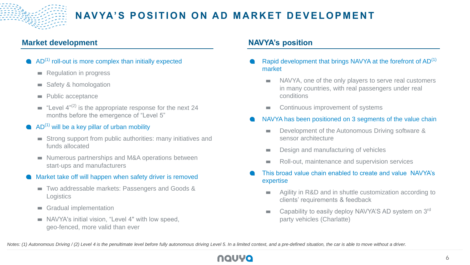

### **Market development NAVYA's position**

- $\bullet$  AD<sup>(1)</sup> roll-out is more complex than initially expected
	- **Regulation in progress**
	- Safety & homologation  $\sim$
	- Public acceptance  $\sim$
	- **E** "Level  $4^{n(2)}$  is the appropriate response for the next 24 months before the emergence of "Level 5"
- $\bullet$  AD<sup>(1)</sup> will be a key pillar of urban mobility
	- Strong support from public authorities: many initiatives and funds allocated
	- Numerous partnerships and M&A operations between start-ups and manufacturers
- Market take off will happen when safety driver is removed
	- Two addressable markets: Passengers and Goods & **Logistics**
	- Gradual implementation  $\sim$
	- NAVYA's initial vision, "Level 4" with low speed, geo-fenced, more valid than ever

- Rapid development that brings NAVYA at the forefront of AD<sup>(1)</sup> market
	- NAVYA, one of the only players to serve real customers  $\mathcal{L}$ in many countries, with real passengers under real conditions
	- Continuous improvement of systems  $\mathcal{L}_{\mathcal{A}}$
- NAVYA has been positioned on 3 segments of the value chain
	- Development of the Autonomous Driving software &  $\mathcal{L}$ sensor architecture
	- Design and manufacturing of vehicles m.
	- Roll-out, maintenance and supervision services **College**
- This broad value chain enabled to create and value NAVYA's expertise
	- Agility in R&D and in shuttle customization according to clients' requirements & feedback
	- Capability to easily deploy NAVYA'S AD system on 3rd **College** party vehicles (Charlatte)

*Notes: (1) Autonomous Driving / (2) Level 4 is the penultimate level before fully autonomous driving Level 5. In a limited context, and a pre-defined situation, the car is able to move without a driver.*

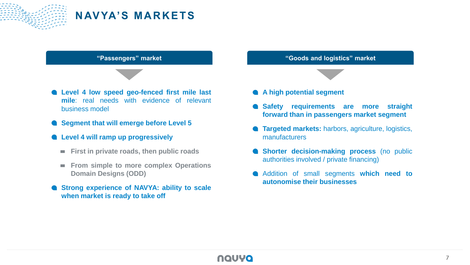

## **N AV YA'S MA R K E T S**



- **Level 4 will ramp up progressively**
	- **First in private roads, then public roads**
	- **From simple to more complex Operations**  $\mathcal{L}_{\mathcal{A}}$ **Domain Designs (ODD)**
- **Strong experience of NAVYA: ability to scale when market is ready to take off**

**A high potential segment**

- **Safety requirements are more straight forward than in passengers market segment**
- **Targeted markets:** harbors, agriculture, logistics, manufacturers
- **Shorter decision-making process** (no public authorities involved / private financing)
- Addition of small segments **which need to autonomise their businesses**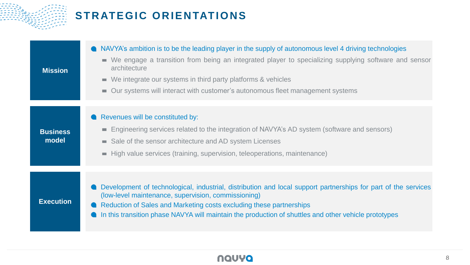

# **STRATEGIC ORIENTATIONS**

| <b>Mission</b>           | • NAVYA's ambition is to be the leading player in the supply of autonomous level 4 driving technologies<br>We engage a transition from being an integrated player to specializing supplying software and sensor<br>$\mathcal{L}_{\mathcal{A}}$<br>architecture<br>We integrate our systems in third party platforms & vehicles<br>m.<br>Our systems will interact with customer's autonomous fleet management systems<br>m. |
|--------------------------|-----------------------------------------------------------------------------------------------------------------------------------------------------------------------------------------------------------------------------------------------------------------------------------------------------------------------------------------------------------------------------------------------------------------------------|
| <b>Business</b><br>model | Revenues will be constituted by:<br>Engineering services related to the integration of NAVYA's AD system (software and sensors)<br>m.<br>Sale of the sensor architecture and AD system Licenses<br>m.<br>High value services (training, supervision, teleoperations, maintenance)<br>m.                                                                                                                                     |
| <b>Execution</b>         | Development of technological, industrial, distribution and local support partnerships for part of the services<br>(low-level maintenance, supervision, commissioning)<br>Reduction of Sales and Marketing costs excluding these partnerships<br>In this transition phase NAVYA will maintain the production of shuttles and other vehicle prototypes                                                                        |

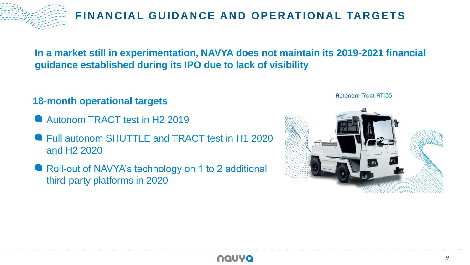

**In a market still in experimentation, NAVYA does not maintain its 2019-2021 financial guidance established during its IPO due to lack of visibility**

## **18-month operational targets**

- **Autonom TRACT test in H2 2019**
- Full autonom SHUTTLE and TRACT test in H1 2020 and H2 2020
- **Roll-out of NAVYA's technology on 1 to 2 additional** third-party platforms in 2020





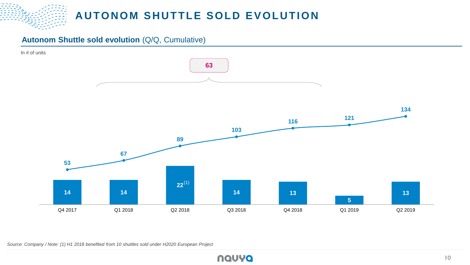**AUTONOM SHUTTLE SOLD EVOLUTION** 

## **Autonom Shuttle sold evolution** (Q/Q, Cumulative)



*Source: Company / Note: (1) H1 2018 benefited from 10 shuttles sold under H2020 European Project*